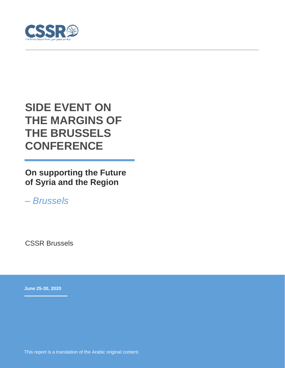

# **SIDE EVENT ON THE MARGINS OF THE BRUSSELS CONFERENCE**

**On supporting the Future of Syria and the Region**

*– Brussels*

CSSR Brussels

**June 25-30, 2020**

This report is a translation of the Arabic original content.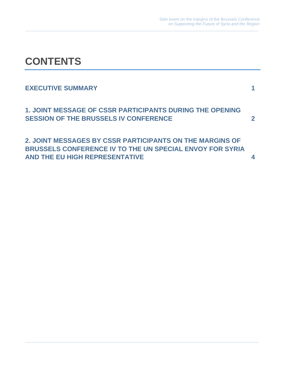# **CONTENTS**

# **EXECUTIVE SUMMARY 1**

**1. JOINT MESSAGE OF CSSR PARTICIPANTS DURING THE OPENING SESSION OF THE BRUSSELS IV CONFERENCE 2**

**2. JOINT MESSAGES BY CSSR PARTICIPANTS ON THE MARGINS OF BRUSSELS CONFERENCE IV TO THE UN SPECIAL ENVOY FOR SYRIA AND THE EU HIGH REPRESENTATIVE 4**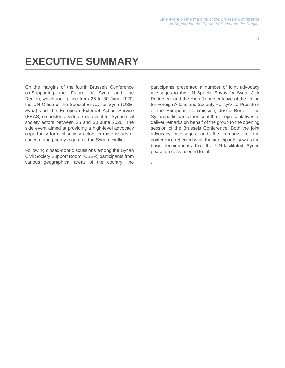### **EXECUTIVE SUMMARY**

On the margins of the fourth Brussels Conference on Supporting the Future of Syria and the Region, which took place from 25 to 30 June 2020, the UN Office of the Special Envoy for Syria (OSE-Syria) and the European External Action Service (EEAS) co-hosted a virtual side event for Syrian civil society actors between 25 and 30 June 2020. The side event aimed at providing a high-level advocacy opportunity for civil society actors to raise issues of concern and priority regarding the Syrian conflict.

Following closed-door discussions among the Syrian Civil Society Support Room (CSSR) participants from various geographical areas of the country, the

participants presented a number of joint advocacy messages to the UN Special Envoy for Syria, Geir Pedersen, and the High Representative of the Union for Foreign Affairs and Security Policy/Vice-President of the European Commission, Josep Borrell. The Syrian participants then sent three representatives to deliver remarks on behalf of the group to the opening session of the Brussels Conference. Both the joint advocacy messages and the remarks to the conference reflected what the participants saw as the basic requirements that the UN-facilitated Syrian peace process needed to fulfil.

.

1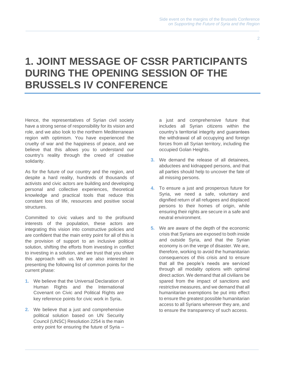### **1. JOINT MESSAGE OF CSSR PARTICIPANTS DURING THE OPENING SESSION OF THE BRUSSELS IV CONFERENCE**

Hence, the representatives of Syrian civil society have a strong sense of responsibility for its vision and role, and we also look to the northern Mediterranean region with optimism. You have experienced the cruelty of war and the happiness of peace, and we believe that this allows you to understand our country's reality through the creed of creative solidarity.

As for the future of our country and the region, and despite a hard reality, hundreds of thousands of activists and civic actors are building and developing personal and collective experiences, theoretical knowledge and practical tools that reduce this constant loss of life, resources and positive social structures.

Committed to civic values and to the profound interests of the population, these actors are integrating this vision into constructive policies and are confident that the main entry point for all of this is the provision of support to an inclusive political solution, shifting the efforts from investing in conflict to investing in a solution, and we trust that you share this approach with us. We are also interested in presenting the following list of common points for the current phase:

- **1.** We believe that the Universal Declaration of Human Rights and the International Covenant on Civic and Political Rights are key reference points for civic work in Syria .
- **2.** We believe that a just and comprehensive political solution based on UN Security Council (UNSC) Resolution 2254 is the main entry point for ensuring the future of Syria –

a just and comprehensive future that includes all Syrian citizens within the country's territorial integrity and guarantees the withdrawal of all occupying and foreign forces from all Syrian territory, including the occupied Golan Heights.

- **3.** We demand the release of all detainees, abductees and kidnapped persons, and that all parties should help to uncover the fate of all missing persons.
- **4.** To ensure a just and prosperous future for Syria, we need a safe, voluntary and dignified return of all refugees and displaced persons to their homes of origin, while ensuring their rights are secure in a safe and neutral environment.
- **5.** We are aware of the depth of the economic crisis that Syrians are exposed to both inside and outside Syria, and that the Syrian economy is on the verge of disaster. We are, therefore, working to avoid the humanitarian consequences of this crisis and to ensure that all the people's needs are serviced through all modality options with optimal direct action. We demand that all civilians be spared from the impact of sanctions and restrictive measures, and we demand that all humanitarian exemptions be put into effect to ensure the greatest possible humanitarian access to all Syrians wherever they are, and to ensure the transparency of such access.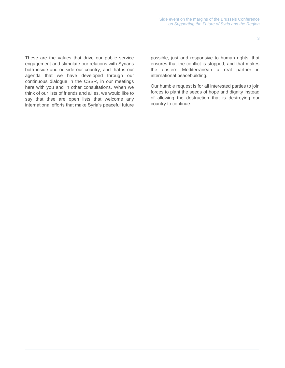These are the values that drive our public service engagement and stimulate our relations with Syrians both inside and outside our country, and that is our agenda that we have developed through our continuous dialogue in the CSSR, in our meetings here with you and in other consultations. When we think of our lists of friends and allies, we would like to say that thse are open lists that welcome any international efforts that make Syria's peaceful future

possible, just and responsive to human rights; that ensures that the conflict is stopped; and that makes the eastern Mediterranean a real partner in international peacebuilding.

Our humble request is for all interested parties to join forces to plant the seeds of hope and dignity instead of allowing the destruction that is destroying our country to continue.

3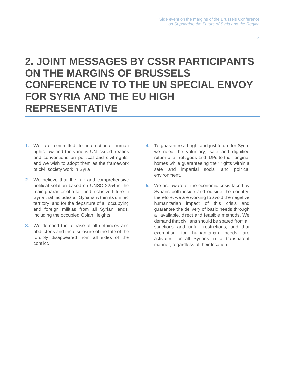4

## **2. JOINT MESSAGES BY CSSR PARTICIPANTS ON THE MARGINS OF BRUSSELS CONFERENCE IV TO THE UN SPECIAL ENVOY FOR SYRIA AND THE EU HIGH REPRESENTATIVE**

- **1.** We are committed to international human rights law and the various UN-issued treaties and conventions on political and civil rights, and we wish to adopt them as the framework of civil society work in Syria
- **2.** We believe that the fair and comprehensive political solution based on UNSC 2254 is the main guarantor of a fair and inclusive future in Syria that includes all Syrians within its unified territory, and for the departure of all occupying and foreign militias from all Syrian lands, including the occupied Golan Heights.
- **3.** We demand the release of all detainees and abductees and the disclosure of the fate of the forcibly disappeared from all sides of the conflict.
- **4.** To guarantee a bright and just future for Syria, we need the voluntary, safe and dignified return of all refugees and IDPs to their original homes while guaranteeing their rights within a safe and impartial social and political environment.
- **5.** We are aware of the economic crisis faced by Syrians both inside and outside the country; therefore, we are working to avoid the negative humanitarian impact of this crisis and guarantee the delivery of basic needs through all available, direct and feasible methods. We demand that civilians should be spared from all sanctions and unfair restrictions, and that exemption for humanitarian needs are activated for all Syrians in a transparent manner, regardless of their location.